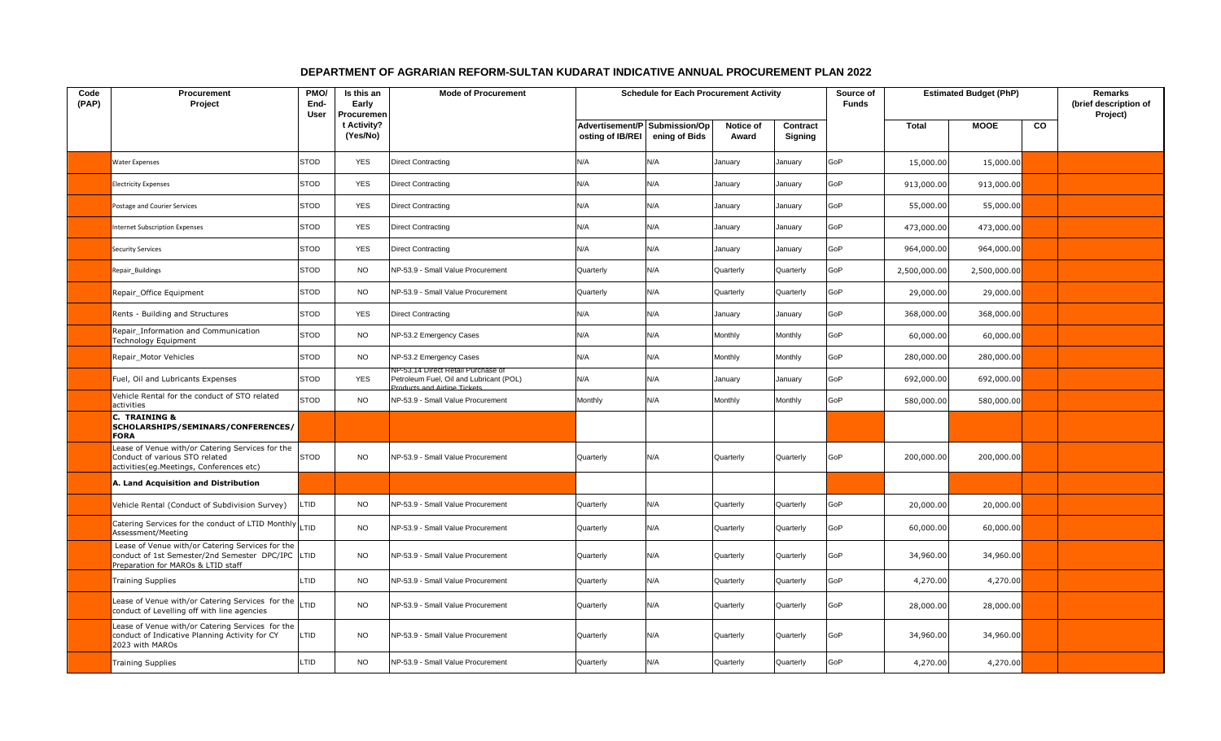| Code<br>(PAP) | Procurement<br>Project                                                                                                                      | PMO/<br>End-<br>User | Is this an<br>Early<br>Procuremen | <b>Mode of Procurement</b>                                                                                  | <b>Schedule for Each Procurement Activity</b>                   |     |                    |                     | Source of<br><b>Estimated Budget (PhP)</b><br><b>Funds</b> |              |              |    | Remarks<br>(brief description of<br>Project) |
|---------------|---------------------------------------------------------------------------------------------------------------------------------------------|----------------------|-----------------------------------|-------------------------------------------------------------------------------------------------------------|-----------------------------------------------------------------|-----|--------------------|---------------------|------------------------------------------------------------|--------------|--------------|----|----------------------------------------------|
|               |                                                                                                                                             |                      | t Activity?<br>(Yes/No)           |                                                                                                             | Advertisement/P Submission/Op<br>osting of IB/REI ening of Bids |     | Notice of<br>Award | Contract<br>Signing |                                                            | <b>Total</b> | <b>MOOE</b>  | CO |                                              |
|               | Water Expenses                                                                                                                              | <b>STOD</b>          | <b>YES</b>                        | Direct Contracting                                                                                          | N/A                                                             | N/A | January            | January             | GoP                                                        | 15,000.00    | 15,000.00    |    |                                              |
|               | Electricity Expenses                                                                                                                        | <b>STOD</b>          | <b>YES</b>                        | Direct Contracting                                                                                          | N/A                                                             | N/A | January            | January             | GoP                                                        | 913,000.00   | 913,000.00   |    |                                              |
|               | Postage and Courier Services                                                                                                                | <b>STOD</b>          | <b>YES</b>                        | Direct Contracting                                                                                          | N/A                                                             | N/A | January            | January             | GoP                                                        | 55,000.00    | 55,000.00    |    |                                              |
|               | <b>Internet Subscription Expenses</b>                                                                                                       | <b>STOD</b>          | <b>YES</b>                        | Direct Contracting                                                                                          | N/A                                                             | N/A | January            | January             | GoP                                                        | 473,000.00   | 473,000.00   |    |                                              |
|               | <b>Security Services</b>                                                                                                                    | <b>STOD</b>          | <b>YES</b>                        | Direct Contracting                                                                                          | N/A                                                             | N/A | January            | January             | GoP                                                        | 964,000.00   | 964,000.00   |    |                                              |
|               | Repair_Buildings                                                                                                                            | <b>STOD</b>          | <b>NO</b>                         | NP-53.9 - Small Value Procurement                                                                           | Quarterly                                                       | N/A | Quarterly          | Quarterly           | GoP                                                        | 2,500,000.00 | 2,500,000.00 |    |                                              |
|               | Repair_Office Equipment                                                                                                                     | <b>STOD</b>          | <b>NO</b>                         | NP-53.9 - Small Value Procurement                                                                           | Quarterly                                                       | N/A | Quarterly          | Quarterly           | GoP                                                        | 29,000.00    | 29,000.00    |    |                                              |
|               | Rents - Building and Structures                                                                                                             | <b>STOD</b>          | <b>YES</b>                        | Direct Contracting                                                                                          | N/A                                                             | N/A | January            | January             | GoP                                                        | 368,000.00   | 368,000.00   |    |                                              |
|               | Repair Information and Communication<br>Technology Equipment                                                                                | <b>STOD</b>          | <b>NO</b>                         | <b>VP-53.2 Emergency Cases</b>                                                                              | N/A                                                             | N/A | Monthly            | Monthly             | GoP                                                        | 60,000.00    | 60,000.00    |    |                                              |
|               | Repair Motor Vehicles                                                                                                                       | <b>STOD</b>          | <b>NO</b>                         | NP-53.2 Emergency Cases                                                                                     | N/A                                                             | N/A | Monthly            | Monthly             | GoP                                                        | 280,000.00   | 280,000.00   |    |                                              |
|               | Fuel, Oil and Lubricants Expenses                                                                                                           | <b>STOD</b>          | <b>YES</b>                        | NP-53.14 Direct Retail Purchase of<br>Petroleum Fuel, Oil and Lubricant (POL)<br>whicte and Airline Tickets | N/A                                                             | N/A | January            | January             | GoP                                                        | 692,000.00   | 692,000.00   |    |                                              |
|               | Vehicle Rental for the conduct of STO related<br>activities                                                                                 | <b>STOD</b>          | <b>NO</b>                         | NP-53.9 - Small Value Procurement                                                                           | Monthly                                                         | N/A | Monthly            | Monthly             | GoP                                                        | 580,000.00   | 580,000.00   |    |                                              |
|               | <b>C. TRAINING &amp;</b><br>SCHOLARSHIPS/SEMINARS/CONFERENCES/<br><b>FORA</b>                                                               |                      |                                   |                                                                                                             |                                                                 |     |                    |                     |                                                            |              |              |    |                                              |
|               | Lease of Venue with/or Catering Services for the<br>Conduct of various STO related<br>activities(eg.Meetings, Conferences etc)              | <b>STOD</b>          | <b>NO</b>                         | NP-53.9 - Small Value Procurement                                                                           | Quarterly                                                       | N/A | Quarterly          | Quarterly           | GoP                                                        | 200,000.00   | 200,000.00   |    |                                              |
|               | A. Land Acquisition and Distribution                                                                                                        |                      |                                   |                                                                                                             |                                                                 |     |                    |                     |                                                            |              |              |    |                                              |
|               | Vehicle Rental (Conduct of Subdivision Survey)                                                                                              | TID <sub>-</sub>     | <b>NO</b>                         | NP-53.9 - Small Value Procurement                                                                           | Quarterly                                                       | N/A | Quarterly          | Quarterly           | GoP                                                        | 20,000.00    | 20,000.00    |    |                                              |
|               | Catering Services for the conduct of LTID Monthly LTID<br>Assessment/Meeting                                                                |                      | <b>NO</b>                         | NP-53.9 - Small Value Procurement                                                                           | Quarterly                                                       | N/A | Quarterly          | Quarterly           | GoP                                                        | 60,000.00    | 60,000.00    |    |                                              |
|               | Lease of Venue with/or Catering Services for the<br>conduct of 1st Semester/2nd Semester DPC/IPC LTID<br>Preparation for MAROs & LTID staff |                      | <b>NO</b>                         | NP-53.9 - Small Value Procurement                                                                           | Quarterly                                                       | N/A | Quarterly          | Quarterly           | GoP                                                        | 34,960.00    | 34,960.00    |    |                                              |
|               | <b>Training Supplies</b>                                                                                                                    | TID <sub></sub>      | <b>NO</b>                         | NP-53.9 - Small Value Procurement                                                                           | Quarterly                                                       | N/A | Quarterly          | Quarterly           | GoP                                                        | 4,270.00     | 4,270.00     |    |                                              |
|               | Lease of Venue with/or Catering Services for the<br>conduct of Levelling off with line agencies                                             | LTID                 | <b>NO</b>                         | NP-53.9 - Small Value Procurement                                                                           | Quarterly                                                       | N/A | Quarterly          | Quarterly           | GoP                                                        | 28,000.00    | 28,000.00    |    |                                              |
|               | Lease of Venue with/or Catering Services for the<br>conduct of Indicative Planning Activity for CY<br>2023 with MAROs                       | TID <sub>-</sub>     | <b>NO</b>                         | NP-53.9 - Small Value Procurement                                                                           | Quarterly                                                       | N/A | Quarterly          | Quarterly           | GoP                                                        | 34,960.00    | 34,960.00    |    |                                              |
|               | <b>Training Supplies</b>                                                                                                                    | LTID                 | <b>NO</b>                         | NP-53.9 - Small Value Procurement                                                                           | Quarterly                                                       | N/A | Quarterly          | Quarterly           | GoP                                                        | 4,270.00     | 4,270.00     |    |                                              |

## **DEPARTMENT OF AGRARIAN REFORM-SULTAN KUDARAT INDICATIVE ANNUAL PROCUREMENT PLAN 2022**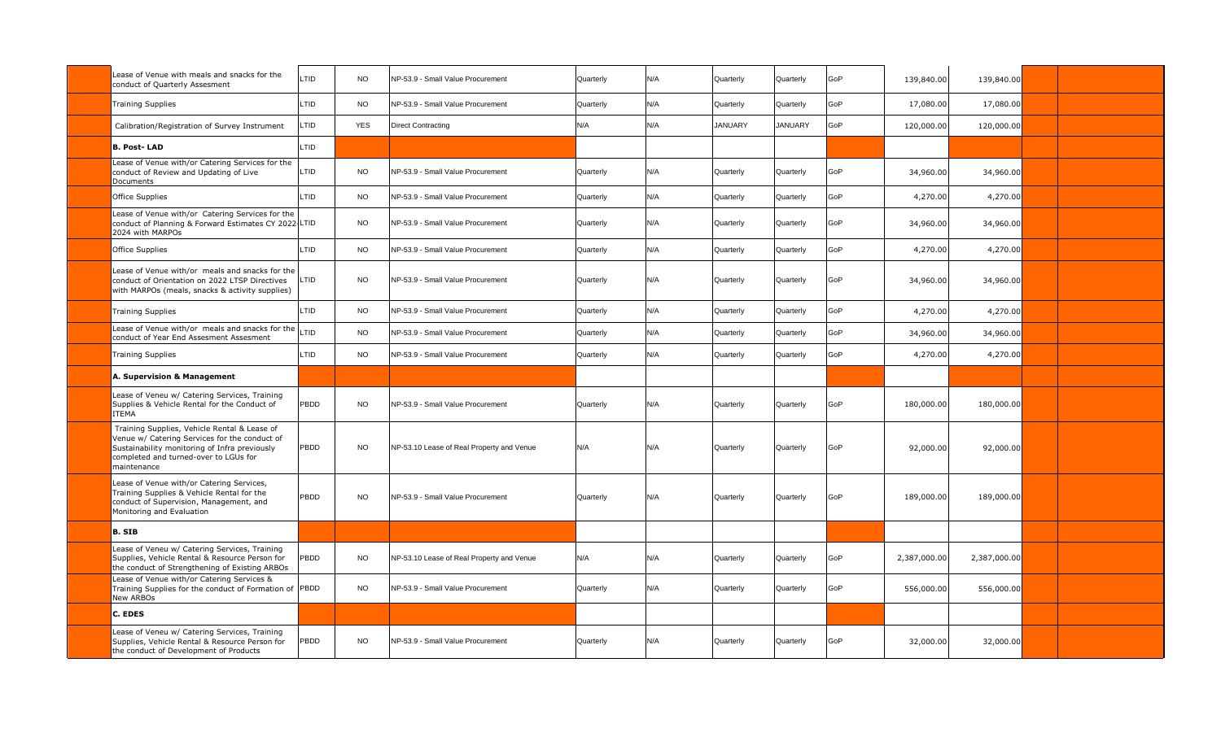| Lease of Venue with meals and snacks for the<br>conduct of Quarterly Assesment                                                                                                                         | <b>LTID</b>     | <b>NO</b>  | NP-53.9 - Small Value Procurement         | Quarterly | N/A | Quarterly      | Quarterly      | GoP | 139,840.00   | 139,840.00   |  |
|--------------------------------------------------------------------------------------------------------------------------------------------------------------------------------------------------------|-----------------|------------|-------------------------------------------|-----------|-----|----------------|----------------|-----|--------------|--------------|--|
| <b>Training Supplies</b>                                                                                                                                                                               | TID <sub></sub> | <b>NO</b>  | NP-53.9 - Small Value Procurement         | Quarterly | N/A | Quarterly      | Quarterly      | GoP | 17,080.00    | 17,080.00    |  |
| Calibration/Registration of Survey Instrument                                                                                                                                                          | LTID            | <b>YES</b> | <b>Direct Contracting</b>                 | N/A       | N/A | <b>JANUARY</b> | <b>JANUARY</b> | GoP | 120,000.00   | 120,000.00   |  |
| <b>B. Post-LAD</b>                                                                                                                                                                                     | LTID            |            |                                           |           |     |                |                |     |              |              |  |
| Lease of Venue with/or Catering Services for the<br>conduct of Review and Updating of Live<br>Documents                                                                                                | LTID            | <b>NO</b>  | NP-53.9 - Small Value Procurement         | Quarterly | N/A | Quarterly      | Quarterly      | GoP | 34,960.00    | 34,960.00    |  |
| Office Supplies                                                                                                                                                                                        | LTID            | <b>NO</b>  | NP-53.9 - Small Value Procurement         | Quarterly | N/A | Quarterly      | Quarterly      | GoP | 4,270.00     | 4,270.00     |  |
| Lease of Venue with/or Catering Services for the<br>conduct of Planning & Forward Estimates CY 2022-LTID<br>2024 with MARPOs                                                                           |                 | <b>NO</b>  | NP-53.9 - Small Value Procurement         | Quarterly | N/A | Quarterly      | Quarterly      | GoP | 34,960.00    | 34,960.00    |  |
| Office Supplies                                                                                                                                                                                        | LTID            | <b>NO</b>  | NP-53.9 - Small Value Procurement         | Quarterly | N/A | Quarterly      | Quarterly      | GoP | 4,270.00     | 4,270.00     |  |
| Lease of Venue with/or meals and snacks for the<br>conduct of Orientation on 2022 LTSP Directives<br>with MARPOs (meals, snacks & activity supplies)                                                   | LTID            | <b>NO</b>  | NP-53.9 - Small Value Procurement         | Quarterly | N/A | Quarterly      | Quarterly      | GoP | 34,960.00    | 34,960.00    |  |
| <b>Training Supplies</b>                                                                                                                                                                               | <b>LTID</b>     | <b>NO</b>  | NP-53.9 - Small Value Procurement         | Quarterly | N/A | Quarterly      | Quarterly      | GoP | 4,270.00     | 4,270.00     |  |
| Lease of Venue with/or meals and snacks for the<br>conduct of Year End Assesment Assesment                                                                                                             | LTID            | <b>NO</b>  | NP-53.9 - Small Value Procurement         | Quarterly | N/A | Quarterly      | Quarterly      | GoP | 34,960.00    | 34,960.00    |  |
| <b>Training Supplies</b>                                                                                                                                                                               | TID <sub></sub> | <b>NO</b>  | NP-53.9 - Small Value Procurement         | Quarterly | N/A | Quarterly      | Quarterly      | GoP | 4,270.00     | 4,270.00     |  |
| A. Supervision & Management                                                                                                                                                                            |                 |            |                                           |           |     |                |                |     |              |              |  |
| Lease of Veneu w/ Catering Services, Training<br>Supplies & Vehicle Rental for the Conduct of<br><b>ITEMA</b>                                                                                          | <b>PBDD</b>     | <b>NO</b>  | NP-53.9 - Small Value Procurement         | Quarterly | N/A | Quarterly      | Quarterly      | GoP | 180,000.00   | 180,000.00   |  |
| Training Supplies, Vehicle Rental & Lease of<br>Venue w/ Catering Services for the conduct of<br>Sustainability monitoring of Infra previously<br>completed and turned-over to LGUs for<br>maintenance | <b>PBDD</b>     | <b>NO</b>  | NP-53.10 Lease of Real Property and Venue | N/A       | N/A | Quarterly      | Quarterly      | GoP | 92,000.00    | 92,000.00    |  |
| Lease of Venue with/or Catering Services,<br>Training Supplies & Vehicle Rental for the<br>conduct of Supervision, Management, and<br>Monitoring and Evaluation                                        | <b>PBDD</b>     | <b>NO</b>  | NP-53.9 - Small Value Procurement         | Quarterly | N/A | Quarterly      | Quarterly      | GoP | 189,000.00   | 189,000.00   |  |
| <b>B. SIB</b>                                                                                                                                                                                          |                 |            |                                           |           |     |                |                |     |              |              |  |
| Lease of Veneu w/ Catering Services, Training<br>Supplies, Vehicle Rental & Resource Person for<br>the conduct of Strengthening of Existing ARBOs                                                      | PBDD            | <b>NO</b>  | NP-53.10 Lease of Real Property and Venue | N/A       | N/A | Quarterly      | Quarterly      | GoP | 2,387,000.00 | 2,387,000.00 |  |
| Lease of Venue with/or Catering Services &<br>Training Supplies for the conduct of Formation of PBDD<br>New ARBOs                                                                                      |                 | <b>NO</b>  | NP-53.9 - Small Value Procurement         | Quarterly | N/A | Quarterly      | Quarterly      | GoP | 556,000.00   | 556,000.00   |  |
| C. EDES                                                                                                                                                                                                |                 |            |                                           |           |     |                |                |     |              |              |  |
| Lease of Veneu w/ Catering Services, Training<br>Supplies, Vehicle Rental & Resource Person for<br>the conduct of Development of Products                                                              | <b>PBDD</b>     | <b>NO</b>  | NP-53.9 - Small Value Procurement         | Quarterly | N/A | Quarterly      | Quarterly      | GoP | 32,000.00    | 32,000.00    |  |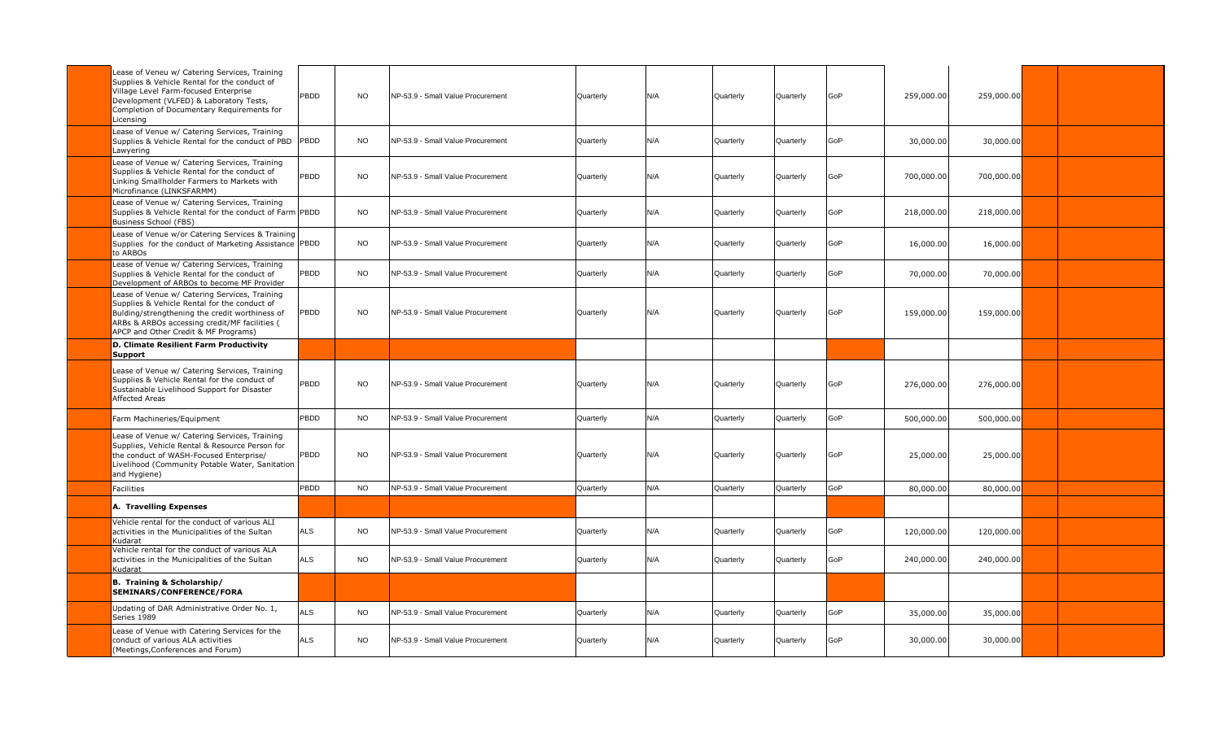| Lease of Veneu w/ Catering Services, Training<br>Supplies & Vehicle Rental for the conduct of<br>Village Level Farm-focused Enterprise<br>Development (VLFED) & Laboratory Tests,<br>Completion of Documentary Requirements for<br>Licensing | PBDD        | <b>NO</b> | NP-53.9 - Small Value Procurement | Quarterly | N/A | Quarterly | Quarterly | GoP | 259,000.00 | 259,000.00 |  |
|----------------------------------------------------------------------------------------------------------------------------------------------------------------------------------------------------------------------------------------------|-------------|-----------|-----------------------------------|-----------|-----|-----------|-----------|-----|------------|------------|--|
| ease of Venue w/ Catering Services, Training<br>Supplies & Vehicle Rental for the conduct of PBD<br>awyering                                                                                                                                 | PBDD        | <b>NO</b> | NP-53.9 - Small Value Procurement | Quarterly | N/A | Quarterly | Quarterly | GoP | 30,000.00  | 30,000.00  |  |
| Lease of Venue w/ Catering Services, Training<br>Supplies & Vehicle Rental for the conduct of<br>Linking Smallholder Farmers to Markets with<br>Microfinance (LINKSFARMM)                                                                    | PBDD        | <b>NO</b> | NP-53.9 - Small Value Procurement | Quarterly | N/A | Quarterly | Quarterly | GoP | 700,000.00 | 700,000.00 |  |
| Lease of Venue w/ Catering Services, Training<br>Supplies & Vehicle Rental for the conduct of Farm PBDD<br>Business School (FBS)                                                                                                             |             | <b>NO</b> | NP-53.9 - Small Value Procurement | Quarterly | N/A | Quarterly | Quarterly | GoP | 218,000.00 | 218,000.00 |  |
| Lease of Venue w/or Catering Services & Training<br>Supplies for the conduct of Marketing Assistance PBDD<br>to ARBOs                                                                                                                        |             | <b>NO</b> | NP-53.9 - Small Value Procurement | Quarterly | N/A | Quarterly | Quarterly | GoP | 16,000.00  | 16,000.00  |  |
| Lease of Venue w/ Catering Services, Training<br>Supplies & Vehicle Rental for the conduct of<br>Development of ARBOs to become MF Provider                                                                                                  | PBDD        | <b>NO</b> | NP-53.9 - Small Value Procurement | Quarterly | N/A | Quarterly | Quarterly | GoP | 70,000.00  | 70,000.00  |  |
| ease of Venue w/ Catering Services, Training<br>Supplies & Vehicle Rental for the conduct of<br>Bulding/strengthening the credit worthiness of<br>ARBs & ARBOs accessing credit/MF facilities (<br>APCP and Other Credit & MF Programs)      | PBDD        | <b>NO</b> | NP-53.9 - Small Value Procurement | Quarterly | N/A | Quarterly | Quarterly | GoP | 159,000.00 | 159,000.00 |  |
| D. Climate Resilient Farm Productivity<br><b>Support</b>                                                                                                                                                                                     |             |           |                                   |           |     |           |           |     |            |            |  |
| Lease of Venue w/ Catering Services, Training<br>Supplies & Vehicle Rental for the conduct of<br>Sustainable Livelihood Support for Disaster<br>Affected Areas                                                                               | <b>PBDD</b> | <b>NO</b> | NP-53.9 - Small Value Procurement | Quarterly | N/A | Quarterly | Quarterly | GoP | 276,000.00 | 276,000.00 |  |
| Farm Machineries/Equipment                                                                                                                                                                                                                   | PBDD        | <b>NO</b> | NP-53.9 - Small Value Procurement | Quarterly | N/A | Quarterly | Quarterly | GoP | 500,000.00 | 500,000.00 |  |
| Lease of Venue w/ Catering Services, Training<br>Supplies, Vehicle Rental & Resource Person for<br>the conduct of WASH-Focused Enterprise/<br>Livelihood (Community Potable Water, Sanitation<br>and Hygiene)                                | PBDD        | <b>NO</b> | NP-53.9 - Small Value Procurement | Quarterly | N/A | Quarterly | Quarterly | GoP | 25,000.00  | 25,000.00  |  |
| Facilities                                                                                                                                                                                                                                   | PBDD        | <b>NO</b> | NP-53.9 - Small Value Procurement | Quarterly | N/A | Quarterly | Quarterly | GoP | 80,000.00  | 80,000.00  |  |
| A. Travelling Expenses                                                                                                                                                                                                                       |             |           |                                   |           |     |           |           |     |            |            |  |
| Vehicle rental for the conduct of various ALI<br>activities in the Municipalities of the Sultan<br>Kudarat                                                                                                                                   | <b>ALS</b>  | <b>NO</b> | NP-53.9 - Small Value Procurement | Quarterly | N/A | Quarterly | Quarterly | GoP | 120,000.00 | 120,000.00 |  |
| Vehicle rental for the conduct of various ALA<br>activities in the Municipalities of the Sultan<br>Kudarat                                                                                                                                   | <b>ALS</b>  | <b>NO</b> | NP-53.9 - Small Value Procurement | Quarterly | N/A | Quarterly | Quarterly | GoP | 240,000.00 | 240,000.00 |  |
| B. Training & Scholarship/<br>SEMINARS/CONFERENCE/FORA                                                                                                                                                                                       |             |           |                                   |           |     |           |           |     |            |            |  |
| Updating of DAR Administrative Order No. 1,<br>Series 1989                                                                                                                                                                                   | <b>ALS</b>  | <b>NO</b> | NP-53.9 - Small Value Procurement | Quarterly | N/A | Quarterly | Quarterly | GoP | 35,000.00  | 35,000.00  |  |
| Lease of Venue with Catering Services for the<br>conduct of various ALA activities<br>(Meetings, Conferences and Forum)                                                                                                                      | <b>ALS</b>  | <b>NO</b> | NP-53.9 - Small Value Procurement | Quarterly | N/A | Quarterly | Quarterly | GoP | 30,000.00  | 30,000.00  |  |
|                                                                                                                                                                                                                                              |             |           |                                   |           |     |           |           |     |            |            |  |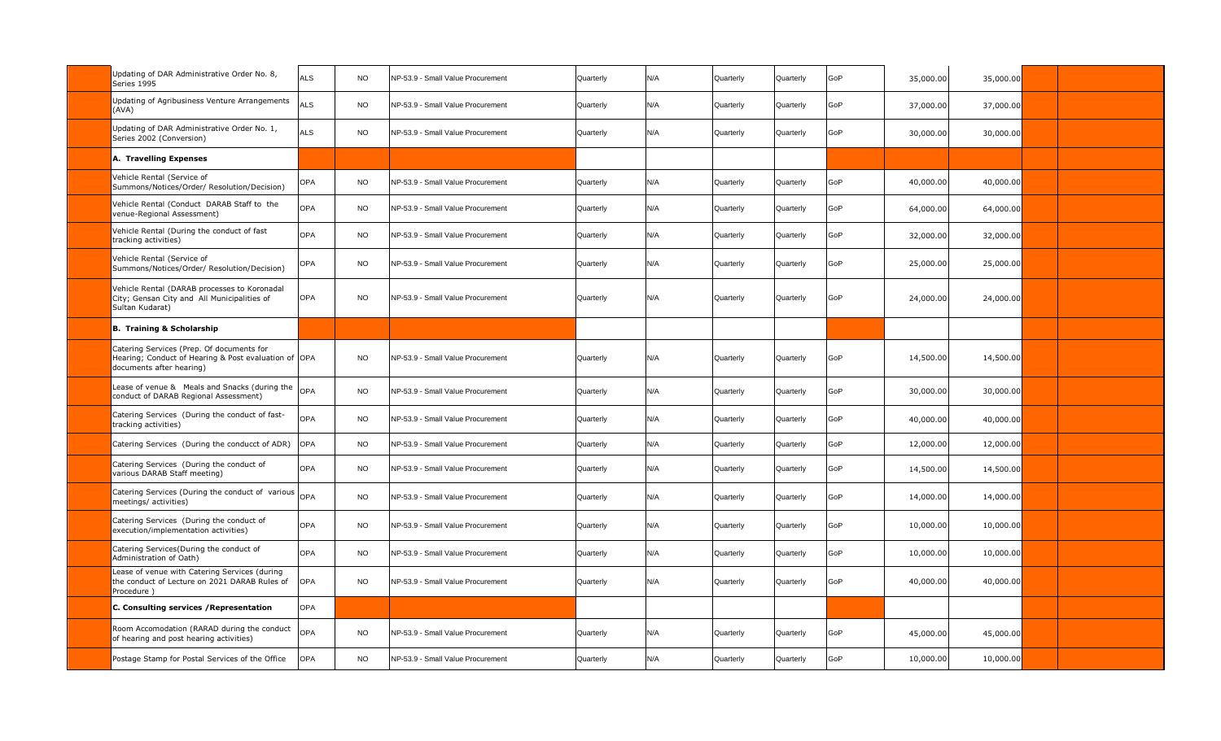| Updating of DAR Administrative Order No. 8,<br>Series 1995                                                                    | <b>ALS</b> | <b>NO</b> | NP-53.9 - Small Value Procurement | Quarterly | N/A | Quarterly | Quarterly | GoP | 35,000.00 | 35,000.00 |  |
|-------------------------------------------------------------------------------------------------------------------------------|------------|-----------|-----------------------------------|-----------|-----|-----------|-----------|-----|-----------|-----------|--|
| Updating of Agribusiness Venture Arrangements<br>(AVA)                                                                        | ALS        | <b>NO</b> | NP-53.9 - Small Value Procurement | Quarterly | N/A | Quarterly | Quarterly | GoP | 37,000.00 | 37,000.00 |  |
| Jpdating of DAR Administrative Order No. 1,<br>Series 2002 (Conversion)                                                       | ALS        | <b>NO</b> | NP-53.9 - Small Value Procurement | Quarterly | N/A | Quarterly | Quarterly | GoP | 30,000.00 | 30,000.00 |  |
| A. Travelling Expenses                                                                                                        |            |           |                                   |           |     |           |           |     |           |           |  |
| Vehicle Rental (Service of<br>Summons/Notices/Order/ Resolution/Decision)                                                     | OPA        | <b>NO</b> | NP-53.9 - Small Value Procurement | Quarterly | N/A | Quarterly | Quarterly | GoP | 40,000.00 | 40,000.00 |  |
| /ehicle Rental (Conduct DARAB Staff to the<br>enue-Regional Assessment)                                                       | OPA        | <b>NO</b> | NP-53.9 - Small Value Procurement | Quarterly | N/A | Quarterly | Quarterly | GoP | 64,000.00 | 64,000.00 |  |
| Vehicle Rental (During the conduct of fast<br>racking activities)                                                             | OPA        | <b>NO</b> | NP-53.9 - Small Value Procurement | Quarterly | N/A | Quarterly | Quarterly | GoP | 32,000.00 | 32,000.00 |  |
| Vehicle Rental (Service of<br>Summons/Notices/Order/ Resolution/Decision)                                                     | OPA        | <b>NO</b> | NP-53.9 - Small Value Procurement | Quarterly | N/A | Quarterly | Quarterly | GoP | 25,000.00 | 25,000.00 |  |
| Vehicle Rental (DARAB processes to Koronadal<br>City; Gensan City and All Municipalities of<br>Sultan Kudarat)                | <b>OPA</b> | <b>NO</b> | NP-53.9 - Small Value Procurement | Quarterly | N/A | Quarterly | Quarterly | GoP | 24,000.00 | 24,000.00 |  |
| <b>B. Training &amp; Scholarship</b>                                                                                          |            |           |                                   |           |     |           |           |     |           |           |  |
| Catering Services (Prep. Of documents for<br>Hearing; Conduct of Hearing & Post evaluation of OPA<br>documents after hearing) |            | <b>NO</b> | NP-53.9 - Small Value Procurement | Quarterly | N/A | Quarterly | Quarterly | GoP | 14,500.00 | 14,500.00 |  |
| ease of venue & Meals and Snacks (during the<br>conduct of DARAB Regional Assessment)                                         | <b>OPA</b> | <b>NO</b> | NP-53.9 - Small Value Procurement | Quarterly | N/A | Quarterly | Quarterly | GoP | 30,000.00 | 30,000.00 |  |
| Catering Services (During the conduct of fast-<br>tracking activities)                                                        | OPA        | <b>NO</b> | NP-53.9 - Small Value Procurement | Quarterly | N/A | Quarterly | Quarterly | GoP | 40,000.00 | 40,000.00 |  |
| Catering Services (During the conducct of ADR)                                                                                | OPA        | <b>NO</b> | NP-53.9 - Small Value Procurement | Quarterly | N/A | Quarterly | Quarterly | GoP | 12,000.00 | 12,000.00 |  |
| Catering Services (During the conduct of<br>various DARAB Staff meeting)                                                      | <b>OPA</b> | <b>NO</b> | NP-53.9 - Small Value Procurement | Quarterly | N/A | Quarterly | Quarterly | GoP | 14,500.00 | 14,500.00 |  |
| Catering Services (During the conduct of various $\bigcap_{OPA}$<br>neetings/ activities)                                     |            | <b>NO</b> | NP-53.9 - Small Value Procurement | Quarterly | N/A | Quarterly | Quarterly | GoP | 14,000.00 | 14,000.00 |  |
| Catering Services (During the conduct of<br>execution/implementation activities)                                              | <b>OPA</b> | <b>NO</b> | NP-53.9 - Small Value Procurement | Quarterly | N/A | Quarterly | Quarterly | GoP | 10,000.00 | 10,000.00 |  |
| Catering Services(During the conduct of<br>Administration of Oath)                                                            | <b>OPA</b> | <b>NO</b> | NP-53.9 - Small Value Procurement | Quarterly | N/A | Quarterly | Quarterly | GoP | 10,000.00 | 10,000.00 |  |
| ease of venue with Catering Services (during<br>he conduct of Lecture on 2021 DARAB Rules of<br>Procedure)                    | OPA        | <b>NO</b> | NP-53.9 - Small Value Procurement | Quarterly | N/A | Quarterly | Quarterly | GoP | 40,000.00 | 40,000.00 |  |
| C. Consulting services / Representation                                                                                       | OPA        |           |                                   |           |     |           |           |     |           |           |  |
| Room Accomodation (RARAD during the conduct<br>of hearing and post hearing activities)                                        | <b>OPA</b> | <b>NO</b> | NP-53.9 - Small Value Procurement | Quarterly | N/A | Quarterly | Quarterly | GoP | 45,000.00 | 45,000.00 |  |
| Postage Stamp for Postal Services of the Office                                                                               | OPA        | <b>NO</b> | NP-53.9 - Small Value Procurement | Quarterly | N/A | Quarterly | Quarterly | GoP | 10,000.00 | 10,000.00 |  |
|                                                                                                                               |            |           |                                   |           |     |           |           |     |           |           |  |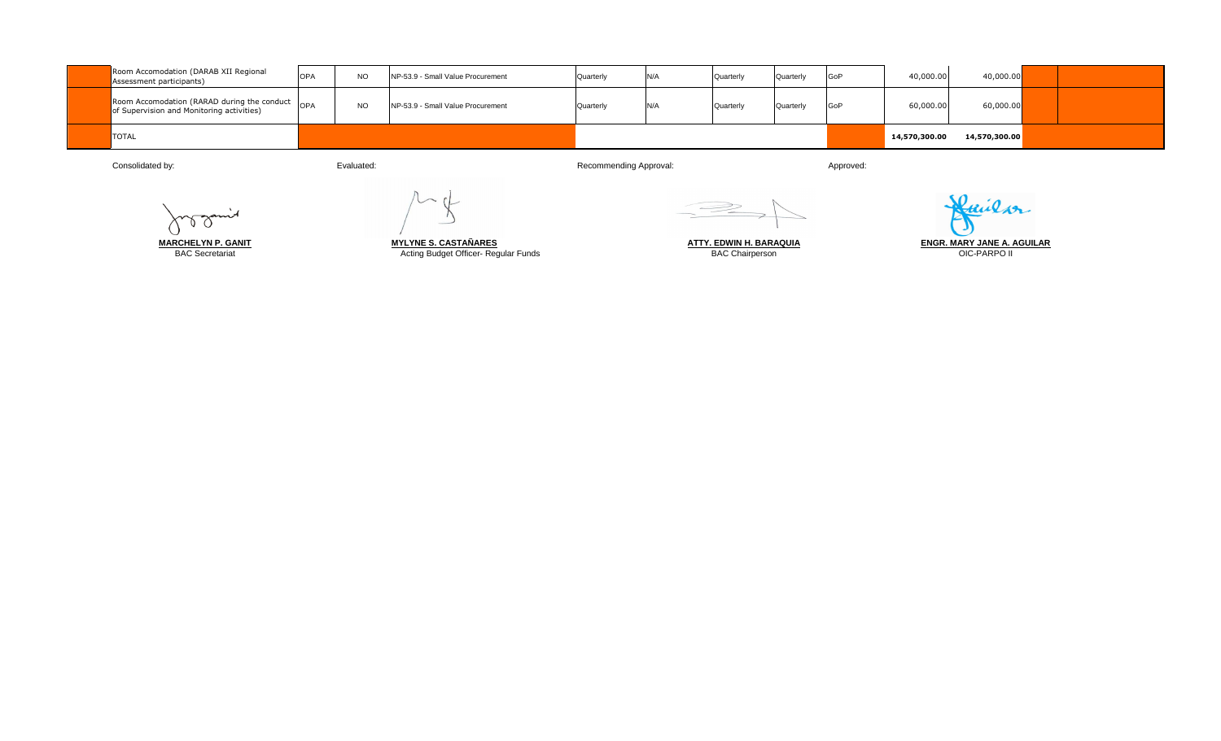| Room Accomodation (DARAB XII Regional<br>Assessment participants)                              | OPA | <b>NO</b> | NP-53.9 - Small Value Procurement | Quarterly | N/A | Quarterly | Quarterly | GoP | 40,000.00     | 40,000.00     |  |
|------------------------------------------------------------------------------------------------|-----|-----------|-----------------------------------|-----------|-----|-----------|-----------|-----|---------------|---------------|--|
| Room Accomodation (RARAD during the conduct $OPA$<br>of Supervision and Monitoring activities) |     | <b>NO</b> | NP-53.9 - Small Value Procurement | Quarterly | N/A | Quarterly | Quarterly | GoP | 60,000.00     | 60,000.00     |  |
| <b>TOTAL</b>                                                                                   |     |           |                                   |           |     |           |           |     | 14,570,300.00 | 14,570,300.00 |  |

Consolidated by: example of the Consolidated by: Recommending Approval: Approved: Approved: Approved: Approved:

امركسه

 $\mathfrak{c}$ 

**MARCHELYN P. GANIT MARCHELYN P. GANIT MITTY. EDWIN H. BARAQUIA ENGR. MARY JANE A. AGUILAR**<br>BAC Secretariat **Acting Budget Officer- Regular Funds BAC Chairperson BAC Chairperson CIC-PARPO II** Acting Budget Officer- Regular Funds

Ruilor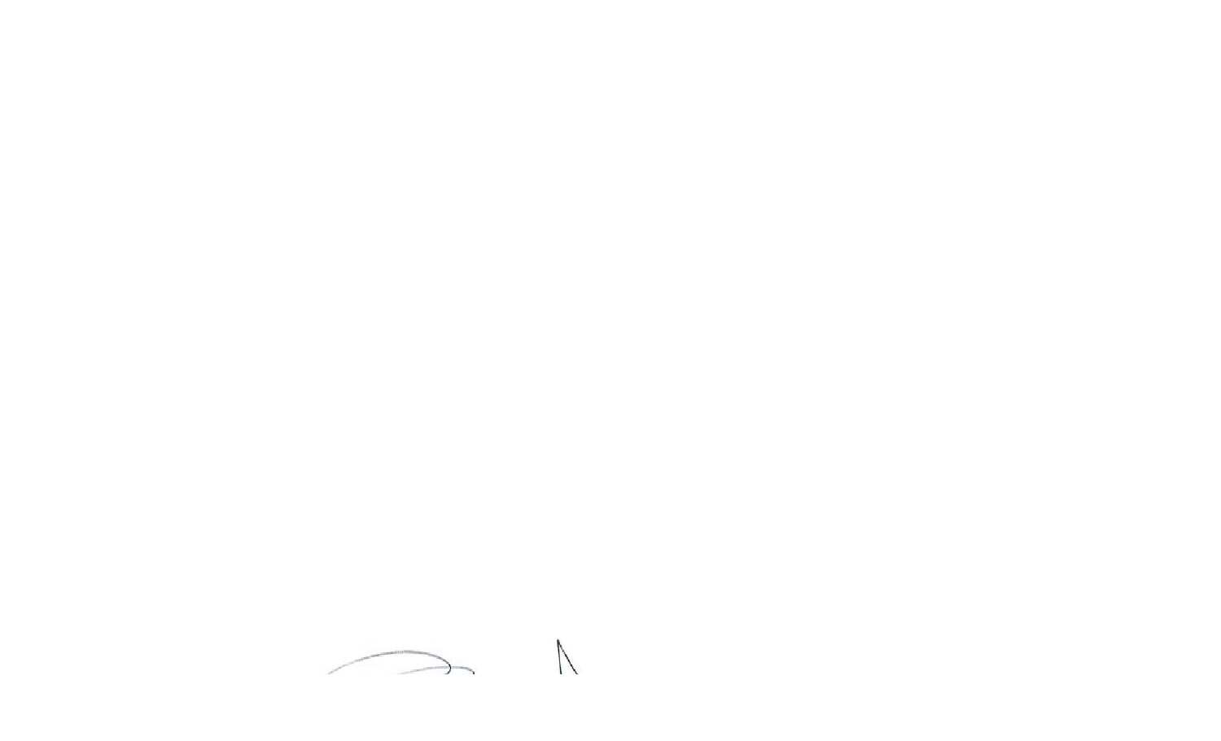$\begin{matrix} \hline \end{matrix}$